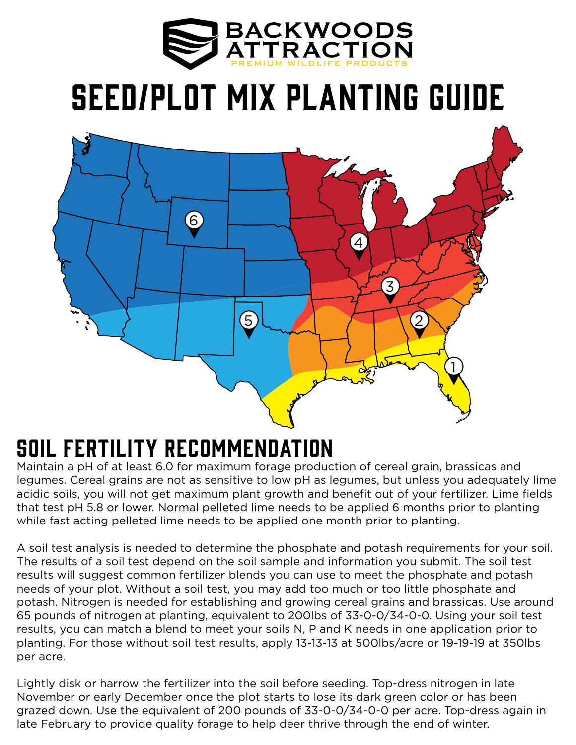

## Seed/Plot Mix Planting guide



## Soil Fertility Recommendation

Maintain a pH of at least 6.0 for maximum forage production of cereal grain, brassicas and legumes. Cereal grains are not as sensitive to low pH as legumes, but unless you adequately lime acidic soils, you will not get maximum plant growth and benefit out of your fertilizer. Lime fields that test pH 5.8 or lower. Normal pelleted lime needs to be applied 6 months prior to planting while fast acting pelleted lime needs to be applied one month prior to planting.

A soil test analysis is needed to determine the phosphate and potash requirements for your soil. The results of a soil test depend on the soil sample and information you submit. The soil test results will suggest common fertilizer blends you can use to meet the phosphate and potash needs of your plot. Without a soil test, you may add too much or too little phosphate and potash. Nitrogen is needed for establishing and growing cereal grains and brassicas. Use around 65 pounds of nitrogen at planting, equivalent to 200lbs of 33-0-0/34-0-0. Using your soil test results, you can match a blend to meet your soils N, P and K needs in one application prior to planting. For those without soil test results, apply 13-13-13 at 500lbs/acre or 19-19-19 at 350lbs per acre.

Lightly disk or harrow the fertilizer into the soil before seeding. Top-dress nitrogen in late November or early December once the plot starts to lose its dark green color or has been grazed down. Use the equivalent of 200 pounds of 33-0-0/34-0-0 per acre. Top-dress again in late February to provide quality forage to help deer thrive through the end of winter.